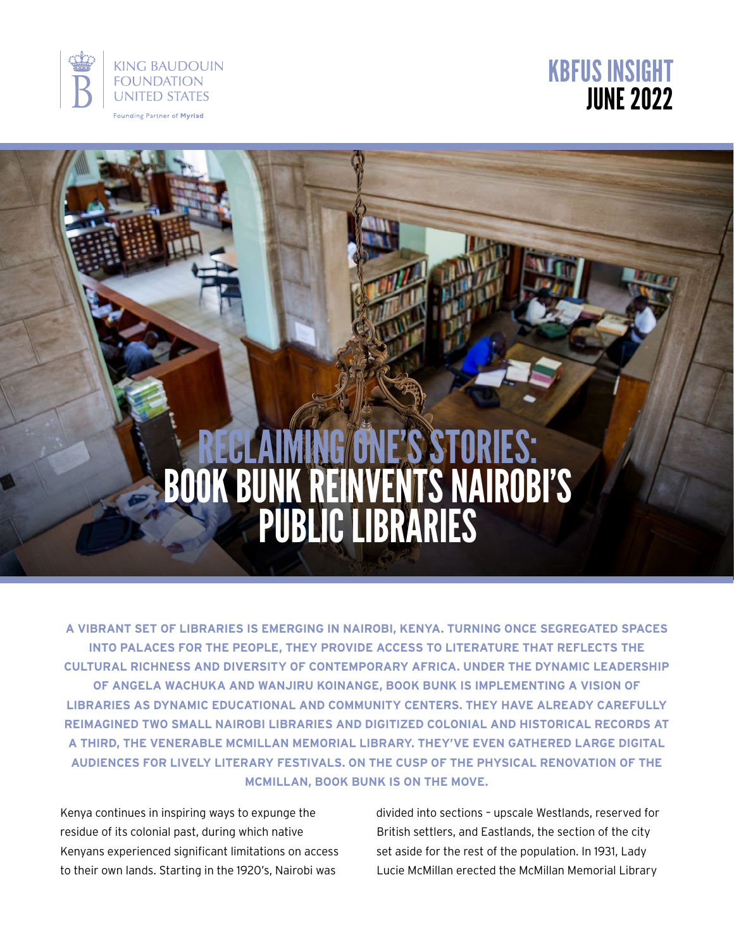



# Reclaiming One's Stories: BOOK BUNK REINVENTS NAIROBI' PUBLIC LIBRA

**A vibrant set of libraries is emerging in Nairobi, Kenya. Turning once segregated spaces into Palaces for The People, they provide access to literature that reflects the cultural richness and diversity of contemporary Africa. Under the dynamic leadership of Angela Wachuka and Wanjiru Koinange, Book Bunk is implementing a vision of libraries as dynamic educational and community centers. They have already carefully reimagined two small Nairobi libraries and digitized colonial and historical records at a third, the venerable McMillan Memorial Library. They've even gathered large digital audiences for lively literary festivals. On the cusp of the physical renovation of the McMillan, Book Bunk is on the move.**

Kenya continues in inspiring ways to expunge the residue of its colonial past, during which native Kenyans experienced significant limitations on access to their own lands. Starting in the 1920's, Nairobi was

divided into sections – upscale Westlands, reserved for British settlers, and Eastlands, the section of the city set aside for the rest of the population. In 1931, Lady Lucie McMillan erected the McMillan Memorial Library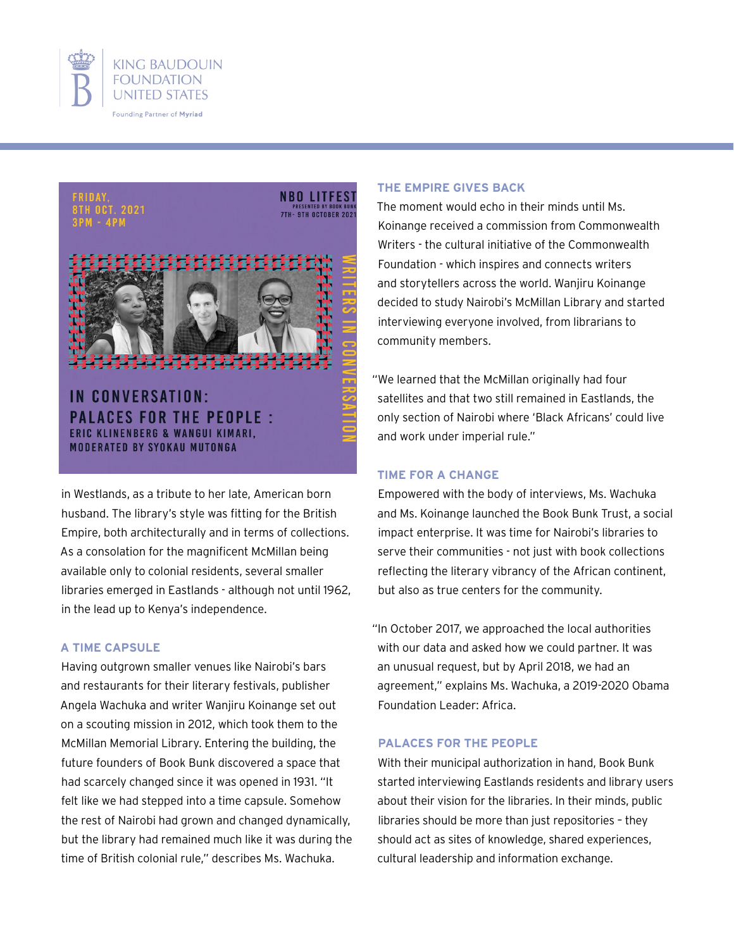



**NBO LITFEST PRESENTED BY BOOK BUN**<br>7TH - 9TH OCTOBER 202

IN CONVERSATION: **PALACES FOR THE PEOPLE:** ERIC KLINENBERG & WANGUI KIMARI. **MODERATED BY SYOKAU MUTONGA** 

in Westlands, as a tribute to her late, American born husband. The library's style was fitting for the British Empire, both architecturally and in terms of collections. As a consolation for the magnificent McMillan being available only to colonial residents, several smaller libraries emerged in Eastlands - although not until 1962, in the lead up to Kenya's independence.

#### **A Time Capsule**

Having outgrown smaller venues like Nairobi's bars and restaurants for their literary festivals, publisher Angela Wachuka and writer Wanjiru Koinange set out on a scouting mission in 2012, which took them to the McMillan Memorial Library. Entering the building, the future founders of Book Bunk discovered a space that had scarcely changed since it was opened in 1931. "It felt like we had stepped into a time capsule. Somehow the rest of Nairobi had grown and changed dynamically, but the library had remained much like it was during the time of British colonial rule," describes Ms. Wachuka.

#### **The Empire Gives Back**

The moment would echo in their minds until Ms. Koinange received a commission from Commonwealth Writers - the cultural initiative of the Commonwealth Foundation - which inspires and connects writers and storytellers across the world. Wanjiru Koinange decided to study Nairobi's McMillan Library and started interviewing everyone involved, from librarians to community members.

"We learned that the McMillan originally had four satellites and that two still remained in Eastlands, the only section of Nairobi where 'Black Africans' could live and work under imperial rule."

#### **Time for a Change**

Empowered with the body of interviews, Ms. Wachuka and Ms. Koinange launched the Book Bunk Trust, a social impact enterprise. It was time for Nairobi's libraries to serve their communities - not just with book collections reflecting the literary vibrancy of the African continent, but also as true centers for the community.

"In October 2017, we approached the local authorities with our data and asked how we could partner. It was an unusual request, but by April 2018, we had an agreement," explains Ms. Wachuka, a 2019-2020 Obama Foundation Leader: Africa.

#### **Palaces for the People**

With their municipal authorization in hand, Book Bunk started interviewing Eastlands residents and library users about their vision for the libraries. In their minds, public libraries should be more than just repositories – they should act as sites of knowledge, shared experiences, cultural leadership and information exchange.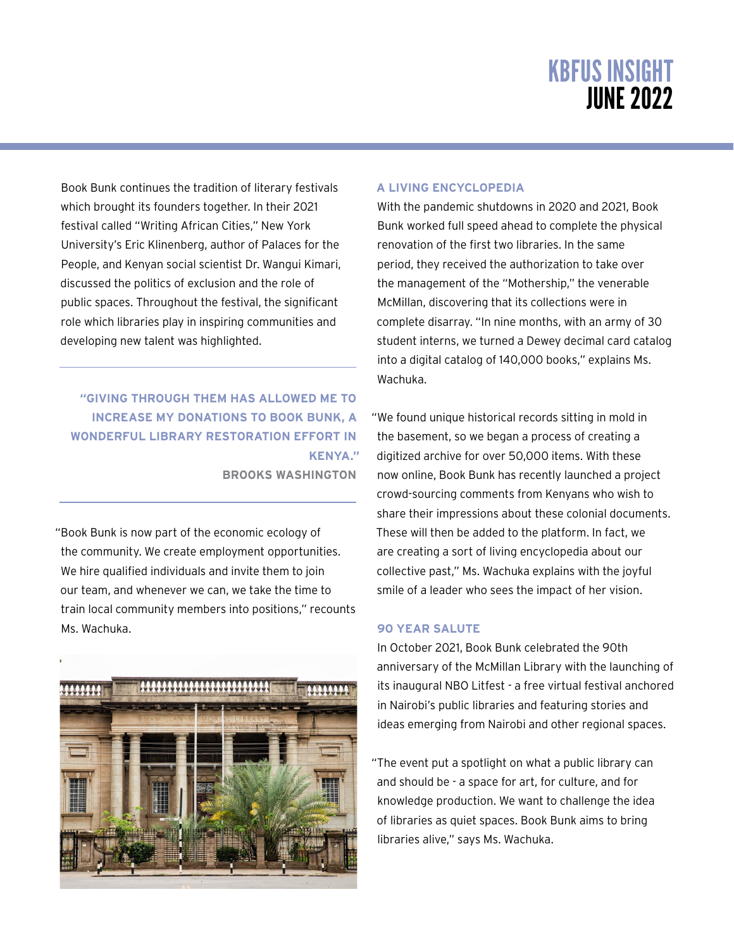Book Bunk continues the tradition of literary festivals which brought its founders together. In their 2021 festival called "Writing African Cities," New York University's Eric Klinenberg, author of Palaces for the People, and Kenyan social scientist Dr. Wangui Kimari, discussed the politics of exclusion and the role of public spaces. Throughout the festival, the significant role which libraries play in inspiring communities and developing new talent was highlighted.

**"giving through them has allowed me to increase my donations to Book Bunk, a wonderful library restoration effort in Kenya." Brooks Washington**

"Book Bunk is now part of the economic ecology of the community. We create employment opportunities. We hire qualified individuals and invite them to join our team, and whenever we can, we take the time to train local community members into positions," recounts Ms. Wachuka.



#### **A Living Encyclopedia**

With the pandemic shutdowns in 2020 and 2021, Book Bunk worked full speed ahead to complete the physical renovation of the first two libraries. In the same period, they received the authorization to take over the management of the "Mothership," the venerable McMillan, discovering that its collections were in complete disarray. "In nine months, with an army of 30 student interns, we turned a Dewey decimal card catalog into a digital catalog of 140,000 books," explains Ms. Wachuka.

"We found unique historical records sitting in mold in the basement, so we began a process of creating a digitized archive for over 50,000 items. With these now online, Book Bunk has recently launched a project crowd-sourcing comments from Kenyans who wish to share their impressions about these colonial documents. These will then be added to the platform. In fact, we are creating a sort of living encyclopedia about our collective past," Ms. Wachuka explains with the joyful smile of a leader who sees the impact of her vision.

#### **90 Year Salute**

In October 2021, Book Bunk celebrated the 90th anniversary of the McMillan Library with the launching of its inaugural NBO Litfest - a free virtual festival anchored in Nairobi's public libraries and featuring stories and ideas emerging from Nairobi and other regional spaces.

"The event put a spotlight on what a public library can and should be - a space for art, for culture, and for knowledge production. We want to challenge the idea of libraries as quiet spaces. Book Bunk aims to bring libraries alive," says Ms. Wachuka.